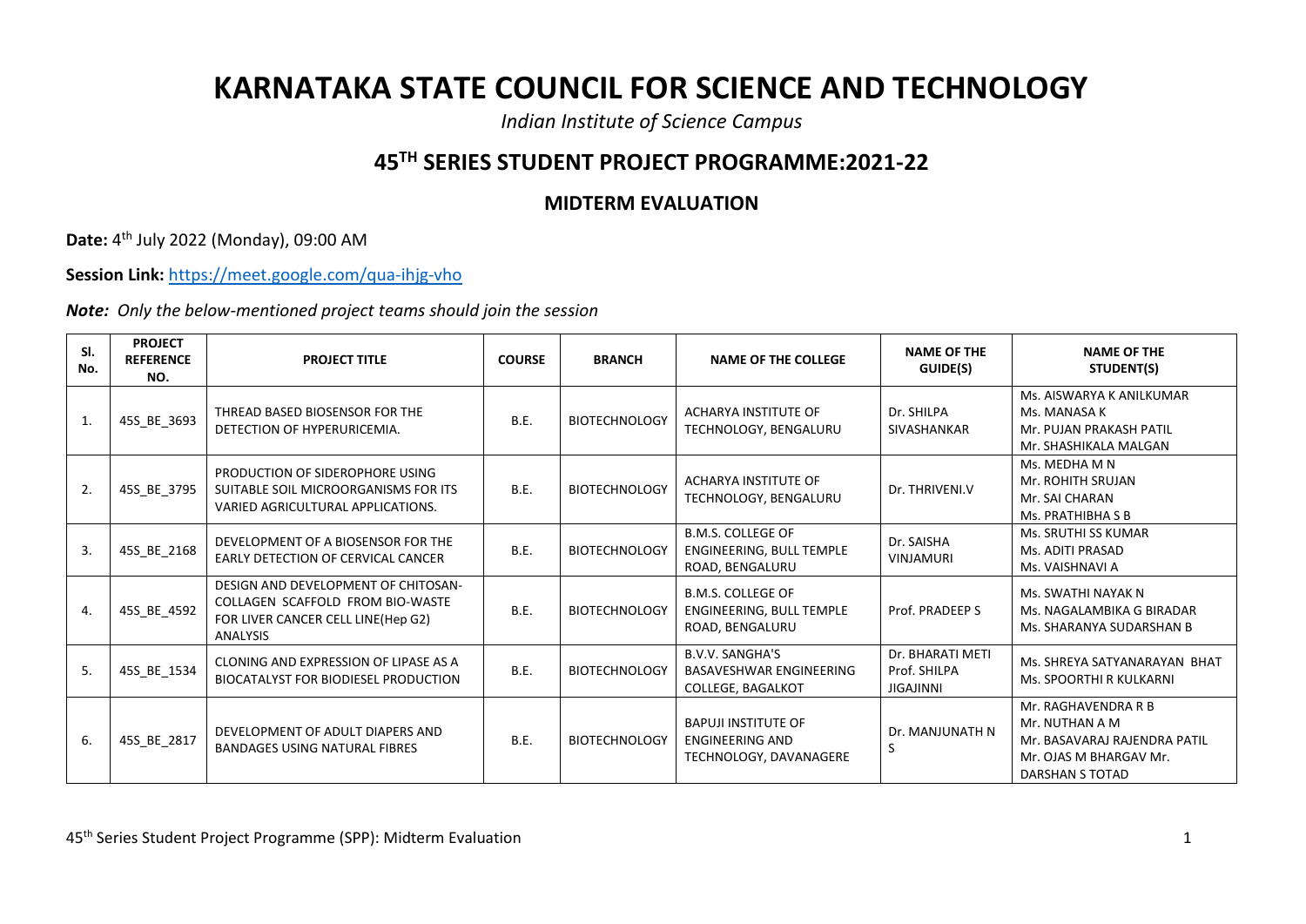## **KARNATAKA STATE COUNCIL FOR SCIENCE AND TECHNOLOGY**

*Indian Institute of Science Campus*

## **45TH SERIES STUDENT PROJECT PROGRAMME:2021-22**

## **MIDTERM EVALUATION**

**Date:** 4 th July 2022 (Monday), 09:00 AM

**Session Link:** <https://meet.google.com/qua-ihjg-vho>

*Note: Only the below-mentioned project teams should join the session*

| SI.<br>No. | <b>PROJECT</b><br><b>REFERENCE</b><br>NO. | <b>PROJECT TITLE</b>                                                                                                             | <b>COURSE</b> | <b>BRANCH</b>        | <b>NAME OF THE COLLEGE</b>                                                           | <b>NAME OF THE</b><br>GUIDE(S)                       | <b>NAME OF THE</b><br>STUDENT(S)                                                                                   |
|------------|-------------------------------------------|----------------------------------------------------------------------------------------------------------------------------------|---------------|----------------------|--------------------------------------------------------------------------------------|------------------------------------------------------|--------------------------------------------------------------------------------------------------------------------|
| 1.         | 45S_BE_3693                               | THREAD BASED BIOSENSOR FOR THE<br>DETECTION OF HYPERURICEMIA.                                                                    | B.E.          | <b>BIOTECHNOLOGY</b> | ACHARYA INSTITUTE OF<br>TECHNOLOGY, BENGALURU                                        | Dr. SHILPA<br><b>SIVASHANKAR</b>                     | Ms. AISWARYA K ANILKUMAR<br>Ms. MANASA K<br>Mr. PUJAN PRAKASH PATIL<br>Mr. SHASHIKALA MALGAN                       |
| 2.         | 45S BE 3795                               | PRODUCTION OF SIDEROPHORE USING<br>SUITABLE SOIL MICROORGANISMS FOR ITS<br>VARIED AGRICULTURAL APPLICATIONS.                     | B.E.          | <b>BIOTECHNOLOGY</b> | ACHARYA INSTITUTE OF<br>TECHNOLOGY, BENGALURU                                        | Dr. THRIVENI.V                                       | Ms. MEDHA M N<br>Mr. ROHITH SRUJAN<br>Mr. SAI CHARAN<br>Ms. PRATHIBHA S B                                          |
| 3.         | 45S_BE_2168                               | DEVELOPMENT OF A BIOSENSOR FOR THE<br>EARLY DETECTION OF CERVICAL CANCER                                                         | B.E.          | <b>BIOTECHNOLOGY</b> | <b>B.M.S. COLLEGE OF</b><br>ENGINEERING, BULL TEMPLE<br>ROAD, BENGALURU              | Dr. SAISHA<br><b>VINJAMURI</b>                       | Ms. SRUTHI SS KUMAR<br>Ms. ADITI PRASAD<br>Ms. VAISHNAVI A                                                         |
| 4.         | 45S_BE_4592                               | DESIGN AND DEVELOPMENT OF CHITOSAN-<br>COLLAGEN SCAFFOLD FROM BIO-WASTE<br>FOR LIVER CANCER CELL LINE(Hep G2)<br><b>ANALYSIS</b> | B.E.          | <b>BIOTECHNOLOGY</b> | <b>B.M.S. COLLEGE OF</b><br>ENGINEERING, BULL TEMPLE<br>ROAD, BENGALURU              | Prof. PRADEEP S                                      | Ms. SWATHI NAYAK N<br>Ms. NAGALAMBIKA G BIRADAR<br>Ms. SHARANYA SUDARSHAN B                                        |
| 5.         | 45S_BE_1534                               | CLONING AND EXPRESSION OF LIPASE AS A<br><b>BIOCATALYST FOR BIODIESEL PRODUCTION</b>                                             | B.E.          | <b>BIOTECHNOLOGY</b> | <b>B.V.V. SANGHA'S</b><br><b>BASAVESHWAR ENGINEERING</b><br><b>COLLEGE, BAGALKOT</b> | Dr. BHARATI METI<br>Prof. SHILPA<br><b>JIGAJINNI</b> | Ms. SHREYA SATYANARAYAN BHAT<br>Ms. SPOORTHI R KULKARNI                                                            |
| 6.         | 45S_BE_2817                               | DEVELOPMENT OF ADULT DIAPERS AND<br><b>BANDAGES USING NATURAL FIBRES</b>                                                         | B.E.          | <b>BIOTECHNOLOGY</b> | <b>BAPUJI INSTITUTE OF</b><br><b>ENGINEERING AND</b><br>TECHNOLOGY, DAVANAGERE       | Dr. MANJUNATH N<br>S                                 | Mr. RAGHAVENDRA R B<br>Mr. NUTHAN A M<br>Mr. BASAVARAJ RAJENDRA PATIL<br>Mr. OJAS M BHARGAV Mr.<br>DARSHAN S TOTAD |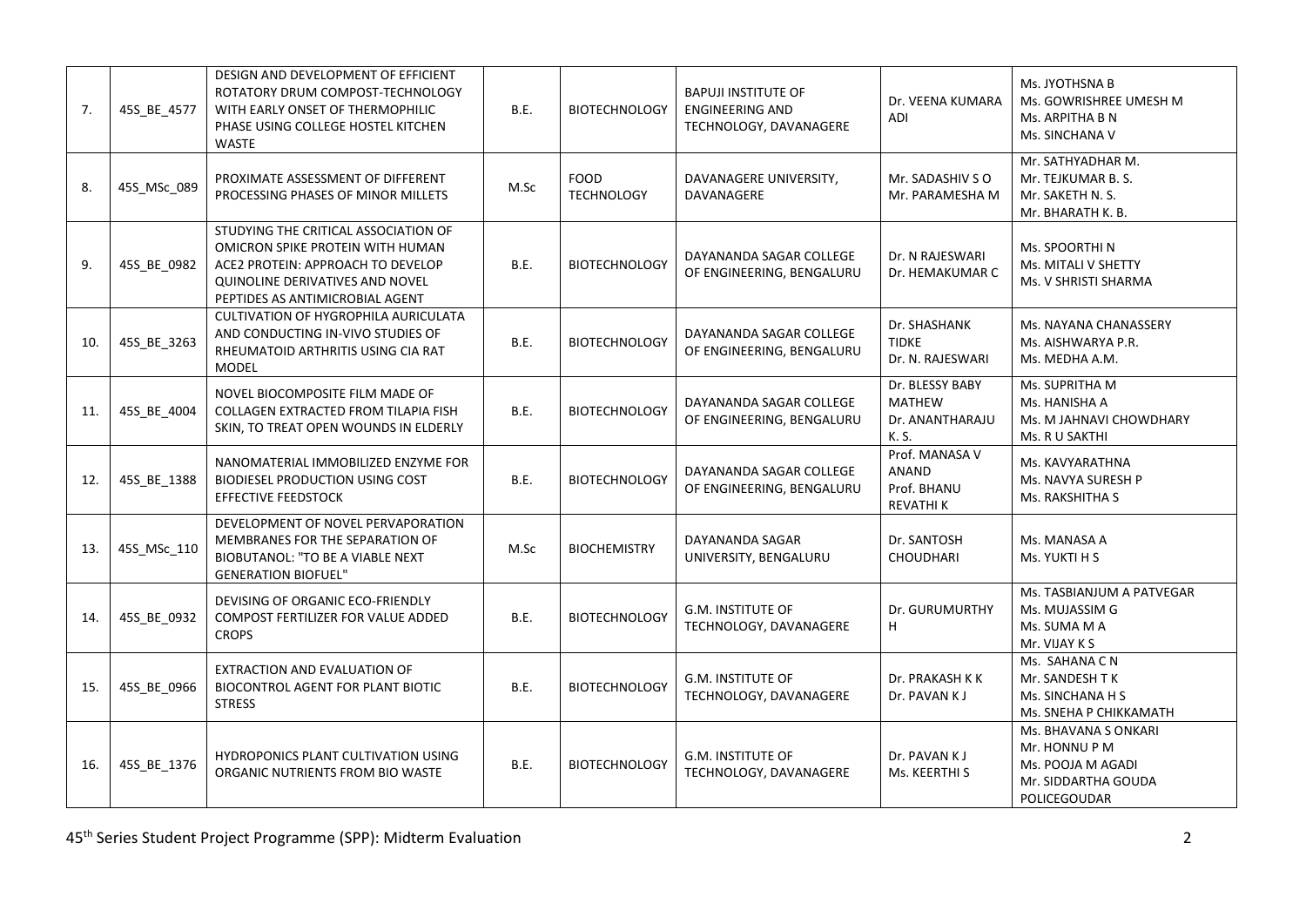| 7.  | 45S BE 4577 | DESIGN AND DEVELOPMENT OF EFFICIENT<br>ROTATORY DRUM COMPOST-TECHNOLOGY<br>WITH EARLY ONSET OF THERMOPHILIC<br>PHASE USING COLLEGE HOSTEL KITCHEN<br><b>WASTE</b>                   | B.E.        | <b>BIOTECHNOLOGY</b>             | <b>BAPUJI INSTITUTE OF</b><br><b>ENGINEERING AND</b><br>TECHNOLOGY, DAVANAGERE | Dr. VEENA KUMARA<br>ADI                                      | Ms. JYOTHSNA B<br>Ms. GOWRISHREE UMESH M<br>Ms. ARPITHA B N<br>Ms. SINCHANA V                     |
|-----|-------------|-------------------------------------------------------------------------------------------------------------------------------------------------------------------------------------|-------------|----------------------------------|--------------------------------------------------------------------------------|--------------------------------------------------------------|---------------------------------------------------------------------------------------------------|
| 8.  | 45S_MSc_089 | PROXIMATE ASSESSMENT OF DIFFERENT<br>PROCESSING PHASES OF MINOR MILLETS                                                                                                             | M.Sc        | <b>FOOD</b><br><b>TECHNOLOGY</b> | DAVANAGERE UNIVERSITY,<br>DAVANAGERE                                           | Mr. SADASHIV SO<br>Mr. PARAMESHA M                           | Mr. SATHYADHAR M.<br>Mr. TEJKUMAR B. S.<br>Mr. SAKETH N. S.<br>Mr. BHARATH K. B.                  |
| 9.  | 45S BE 0982 | STUDYING THE CRITICAL ASSOCIATION OF<br>OMICRON SPIKE PROTEIN WITH HUMAN<br>ACE2 PROTEIN: APPROACH TO DEVELOP<br>QUINOLINE DERIVATIVES AND NOVEL<br>PEPTIDES AS ANTIMICROBIAL AGENT | B.E.        | <b>BIOTECHNOLOGY</b>             | DAYANANDA SAGAR COLLEGE<br>OF ENGINEERING, BENGALURU                           | Dr. N RAJESWARI<br>Dr. HEMAKUMAR C                           | Ms. SPOORTHIN<br>Ms. MITALI V SHETTY<br>Ms. V SHRISTI SHARMA                                      |
| 10. | 45S_BE_3263 | CULTIVATION OF HYGROPHILA AURICULATA<br>AND CONDUCTING IN-VIVO STUDIES OF<br>RHEUMATOID ARTHRITIS USING CIA RAT<br><b>MODEL</b>                                                     | B.E.        | <b>BIOTECHNOLOGY</b>             | DAYANANDA SAGAR COLLEGE<br>OF ENGINEERING, BENGALURU                           | Dr. SHASHANK<br><b>TIDKE</b><br>Dr. N. RAJESWARI             | Ms. NAYANA CHANASSERY<br>Ms. AISHWARYA P.R.<br>Ms. MEDHA A.M.                                     |
| 11. | 45S_BE_4004 | NOVEL BIOCOMPOSITE FILM MADE OF<br>COLLAGEN EXTRACTED FROM TILAPIA FISH<br>SKIN, TO TREAT OPEN WOUNDS IN ELDERLY                                                                    | B.E.        | <b>BIOTECHNOLOGY</b>             | DAYANANDA SAGAR COLLEGE<br>OF ENGINEERING, BENGALURU                           | Dr. BLESSY BABY<br><b>MATHEW</b><br>Dr. ANANTHARAJU<br>K. S. | Ms. SUPRITHA M<br>Ms. HANISHA A<br>Ms. M JAHNAVI CHOWDHARY<br>Ms. R U SAKTHI                      |
| 12. | 45S_BE_1388 | NANOMATERIAL IMMOBILIZED ENZYME FOR<br><b>BIODIESEL PRODUCTION USING COST</b><br><b>EFFECTIVE FEEDSTOCK</b>                                                                         | B.E.        | <b>BIOTECHNOLOGY</b>             | DAYANANDA SAGAR COLLEGE<br>OF ENGINEERING, BENGALURU                           | Prof. MANASA V<br>ANAND<br>Prof. BHANU<br><b>REVATHIK</b>    | Ms. KAVYARATHNA<br>Ms. NAVYA SURESH P<br>Ms. RAKSHITHA S                                          |
| 13. | 45S MSc 110 | DEVELOPMENT OF NOVEL PERVAPORATION<br>MEMBRANES FOR THE SEPARATION OF<br>BIOBUTANOL: "TO BE A VIABLE NEXT<br><b>GENERATION BIOFUEL"</b>                                             | M.Sc        | <b>BIOCHEMISTRY</b>              | DAYANANDA SAGAR<br>UNIVERSITY, BENGALURU                                       | Dr. SANTOSH<br><b>CHOUDHARI</b>                              | Ms. MANASA A<br>Ms. YUKTI H S                                                                     |
| 14. | 45S BE 0932 | DEVISING OF ORGANIC ECO-FRIENDLY<br>COMPOST FERTILIZER FOR VALUE ADDED<br><b>CROPS</b>                                                                                              | B.E.        | <b>BIOTECHNOLOGY</b>             | <b>G.M. INSTITUTE OF</b><br>TECHNOLOGY, DAVANAGERE                             | Dr. GURUMURTHY<br>H                                          | Ms. TASBIANJUM A PATVEGAR<br>Ms. MUJASSIM G<br>Ms. SUMA M A<br>Mr. VIJAY K S                      |
| 15. | 45S_BE_0966 | EXTRACTION AND EVALUATION OF<br>BIOCONTROL AGENT FOR PLANT BIOTIC<br><b>STRESS</b>                                                                                                  | <b>B.E.</b> | <b>BIOTECHNOLOGY</b>             | <b>G.M. INSTITUTE OF</b><br>TECHNOLOGY, DAVANAGERE                             | Dr. PRAKASH K K<br>Dr. PAVAN K J                             | Ms. SAHANA C N<br>Mr. SANDESH TK<br>Ms. SINCHANA H S<br>Ms. SNEHA P CHIKKAMATH                    |
| 16. | 45S_BE_1376 | HYDROPONICS PLANT CULTIVATION USING<br>ORGANIC NUTRIENTS FROM BIO WASTE                                                                                                             | B.E.        | <b>BIOTECHNOLOGY</b>             | <b>G.M. INSTITUTE OF</b><br>TECHNOLOGY, DAVANAGERE                             | Dr. PAVAN K J<br>Ms. KEERTHI S                               | Ms. BHAVANA S ONKARI<br>Mr. HONNU P M<br>Ms. POOJA M AGADI<br>Mr. SIDDARTHA GOUDA<br>POLICEGOUDAR |